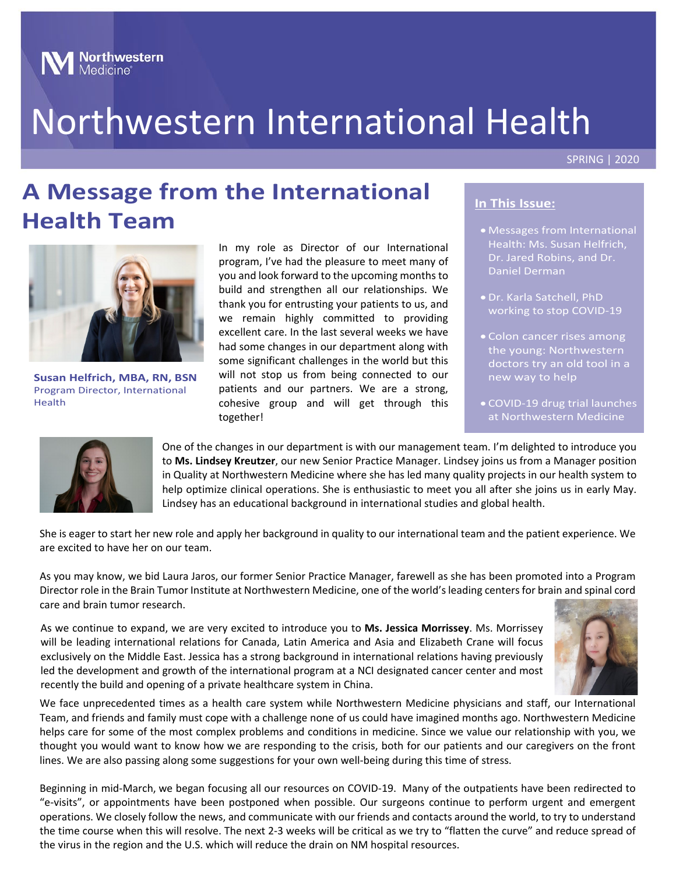

# Northwestern International Health

#### SPRING | 2020

## **A Message from the International Health Team**



**Susan Helfrich, MBA, RN, BSN** Program Director, International Health

In my role as Director of our International program, I've had the pleasure to meet many of you and look forward to the upcoming months to build and strengthen all our relationships. We thank you for entrusting your patients to us, and we remain highly committed to providing excellent care. In the last several weeks we have had some changes in our department along with some significant challenges in the world but this will not stop us from being connected to our patients and our partners. We are a strong, cohesive group and will get through this together!

#### **In This Issue:**

- Messages from International Health: Ms. Susan Helfrich, Dr. Jared Robins, and Dr. Daniel Derman
- Dr. Karla Satchell, PhD working to stop COVID-19
- Colon cancer rises among the young: Northwestern doctors try an old tool in a new way to help
- COVID-19 drug trial launches at Northwestern Medicine



One of the changes in our department is with our management team. I'm delighted to introduce you to **Ms. Lindsey Kreutzer**, our new Senior Practice Manager. Lindsey joins us from a Manager position in Quality at Northwestern Medicine where she has led many quality projects in our health system to help optimize clinical operations. She is enthusiastic to meet you all after she joins us in early May. Lindsey has an educational background in international studies and global health.

She is eager to start her new role and apply her background in quality to our international team and the patient experience. We are excited to have her on our team.

As you may know, we bid Laura Jaros, our former Senior Practice Manager, farewell as she has been promoted into a Program Director role in the Brain Tumor Institute at Northwestern Medicine, one of the world's leading centers for brain and spinal cord care and brain tumor research.

As we continue to expand, we are very excited to introduce you to **Ms. Jessica Morrissey**. Ms. Morrissey will be leading international relations for Canada, Latin America and Asia and Elizabeth Crane will focus exclusively on the Middle East. Jessica has a strong background in international relations having previously led the development and growth of the international program at a NCI designated cancer center and most recently the build and opening of a private healthcare system in China.



We face unprecedented times as a health care system while Northwestern Medicine physicians and staff, our International Team, and friends and family must cope with a challenge none of us could have imagined months ago. Northwestern Medicine helps care for some of the most complex problems and conditions in medicine. Since we value our relationship with you, we thought you would want to know how we are responding to the crisis, both for our patients and our caregivers on the front lines. We are also passing along some suggestions for your own well-being during this time of stress.

operations. We closely follow the news, and communicate with our friends and contacts around the world, to try to understand Beginning in mid-March, we began focusing all our resources on COVID-19. Many of the outpatients have been redirected to "e-visits", or appointments have been postponed when possible. Our surgeons continue to perform urgent and emergent the time course when this will resolve. The next 2-3 weeks will be critical as we try to "flatten the curve" and reduce spread of the virus in the region and the U.S. which will reduce the drain on NM hospital resources.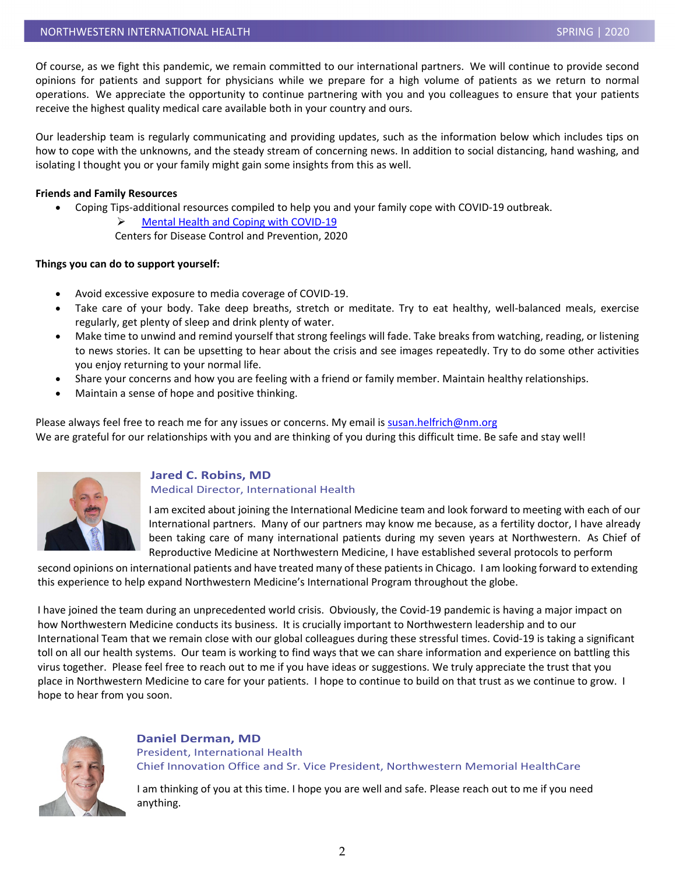Of course, as we fight this pandemic, we remain committed to our international partners. We will continue to provide second opinions for patients and support for physicians while we prepare for a high volume of patients as we return to normal operations. We appreciate the opportunity to continue partnering with you and you colleagues to ensure that your patients receive the highest quality medical care available both in your country and ours.

Our leadership team is regularly communicating and providing updates, such as the information below which includes tips on how to cope with the unknowns, and the steady stream of concerning news. In addition to social distancing, hand washing, and isolating I thought you or your family might gain some insights from this as well.

#### **Friends and Family Resources**

• Coping Tips-additional resources compiled to help you and your family cope with COVID-19 outbreak.

 [Mental Health and Coping with COVID-19](https://www.cdc.gov/coronavirus/2019-ncov/prepare/managing-stress-anxiety.html?CDC_AA_refVal=https%3A%2F%2Fwww.cdc.gov%2Fcoronavirus%2F2019-ncov%2Fabout%2Fcoping.html)

Centers for Disease Control and Prevention, 2020

#### **Things you can do to support yourself:**

- Avoid excessive exposure to media coverage of COVID-19.
- Take care of your body. Take deep breaths, stretch or meditate. Try to eat healthy, well-balanced meals, exercise regularly, get plenty of sleep and drink plenty of water.
- Make time to unwind and remind yourself that strong feelings will fade. Take breaks from watching, reading, or listening to news stories. It can be upsetting to hear about the crisis and see images repeatedly. Try to do some other activities you enjoy returning to your normal life.
- Share your concerns and how you are feeling with a friend or family member. Maintain healthy relationships.
- Maintain a sense of hope and positive thinking.

Please always feel free to reach me for any issues or concerns. My email is [susan.helfrich@nm.org](mailto:susan.helfrich@nm.org) We are grateful for our relationships with you and are thinking of you during this difficult time. Be safe and stay well!



#### **Jared C. Robins, MD** Medical Director, International Health

I am excited about joining the International Medicine team and look forward to meeting with each of our International partners. Many of our partners may know me because, as a fertility doctor, I have already been taking care of many international patients during my seven years at Northwestern. As Chief of Reproductive Medicine at Northwestern Medicine, I have established several protocols to perform

second opinions on international patients and have treated many of these patients in Chicago. I am looking forward to extending this experience to help expand Northwestern Medicine's International Program throughout the globe.

I have joined the team during an unprecedented world crisis. Obviously, the Covid-19 pandemic is having a major impact on how Northwestern Medicine conducts its business. It is crucially important to Northwestern leadership and to our International Team that we remain close with our global colleagues during these stressful times. Covid-19 is taking a significant toll on all our health systems. Our team is working to find ways that we can share information and experience on battling this virus together. Please feel free to reach out to me if you have ideas or suggestions. We truly appreciate the trust that you place in Northwestern Medicine to care for your patients. I hope to continue to build on that trust as we continue to grow. I hope to hear from you soon.



#### **Daniel Derman, MD** President, International Health Chief Innovation Office and Sr. Vice President, Northwestern Memorial HealthCare

I am thinking of you at this time. I hope you are well and safe. Please reach out to me if you need anything.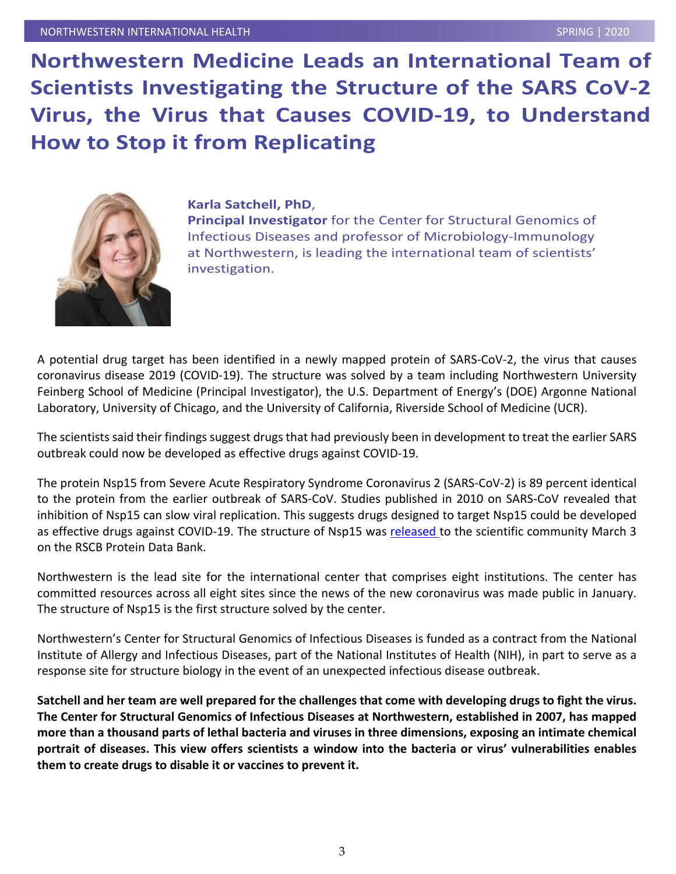**Northwestern Medicine Leads an International Team of Scientists Investigating the Structure of the SARS CoV-2 Virus, the Virus that Causes COVID-19, to Understand How to Stop it from Replicating**



#### **Karla Satchell, PhD**,

**Principal Investigator** for the Center for Structural Genomics of Infectious Diseases and professor of Microbiology-Immunology at Northwestern, is leading the international team of scientists' investigation.

A potential drug target has been identified in a newly mapped protein of SARS-CoV-2, the virus that causes coronavirus disease 2019 (COVID-19). The structure was solved by a team including Northwestern University Feinberg School of Medicine (Principal Investigator), the U.S. Department of Energy's (DOE) Argonne National Laboratory, University of Chicago, and the University of California, Riverside School of Medicine (UCR).

The scientists said their findings suggest drugs that had previously been in development to treat the earlier SARS outbreak could now be developed as effective drugs against COVID-19.

The protein Nsp15 from Severe Acute Respiratory Syndrome Coronavirus 2 (SARS-CoV-2) is 89 percent identical to the protein from the earlier outbreak of SARS-CoV. Studies published in 2010 on SARS-CoV revealed that inhibition of Nsp15 can slow viral replication. This suggests drugs designed to target Nsp15 could be developed as effective drugs against COVID-19. The structure of Nsp15 was [released t](https://www.biorxiv.org/content/10.1101/2020.03.02.968388v1)o the scientific community March 3 on the RSCB Protein Data Bank.

Northwestern is the lead site for the international center that comprises eight institutions. The center has committed resources across all eight sites since the news of the new coronavirus was made public in January. The structure of Nsp15 is the first structure solved by the center.

Northwestern's Center for Structural Genomics of Infectious Diseases is funded as a contract from the National Institute of Allergy and Infectious Diseases, part of the National Institutes of Health (NIH), in part to serve as a response site for structure biology in the event of an unexpected infectious disease outbreak.

**Satchell and her team are well prepared for the challenges that come with developing drugs to fight the virus. The Center for Structural Genomics of Infectious Diseases at Northwestern, established in 2007, has mapped more than a thousand parts of lethal bacteria and viruses in three dimensions, exposing an intimate chemical portrait of diseases. This view offers scientists a window into the bacteria or virus' vulnerabilities enables them to create drugs to disable it or vaccines to prevent it.**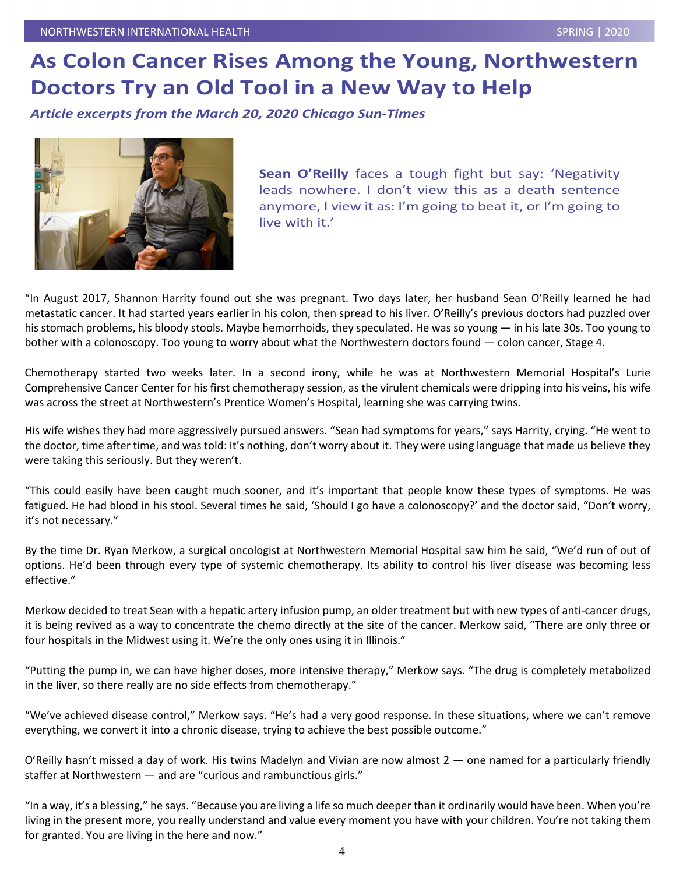### **As Colon Cancer Rises Among the Young, Northwestern Doctors Try an Old Tool in a New Way to Help**

*Article excerpts from the March 20, 2020 Chicago Sun-Times*



**Sean O'Reilly** faces a tough fight but say: 'Negativity leads nowhere. I don't view this as a death sentence anymore, I view it as: I'm going to beat it, or I'm going to live with it.'

"In August 2017, Shannon Harrity found out she was pregnant. Two days later, her husband Sean O'Reilly learned he had metastatic cancer. It had started years earlier in his colon, then spread to his liver. O'Reilly's previous doctors had puzzled over his stomach problems, his bloody stools. Maybe hemorrhoids, they speculated. He was so young — in his late 30s. Too young to bother with a colonoscopy. Too young to worry about what the Northwestern doctors found — colon cancer, Stage 4.

Chemotherapy started two weeks later. In a second irony, while he was at Northwestern Memorial Hospital's Lurie Comprehensive Cancer Center for his first chemotherapy session, as the virulent chemicals were dripping into his veins, his wife was across the street at Northwestern's Prentice Women's Hospital, learning she was carrying twins.

His wife wishes they had more aggressively pursued answers. "Sean had symptoms for years," says Harrity, crying. "He went to the doctor, time after time, and was told: It's nothing, don't worry about it. They were using language that made us believe they were taking this seriously. But they weren't.

"This could easily have been caught much sooner, and it's important that people know these types of symptoms. He was fatigued. He had blood in his stool. Several times he said, 'Should I go have a colonoscopy?' and the doctor said, "Don't worry, it's not necessary."

By the time Dr. Ryan Merkow, a surgical oncologist at Northwestern Memorial Hospital saw him he said, "We'd run of out of options. He'd been through every type of systemic chemotherapy. Its ability to control his liver disease was becoming less effective."

Merkow decided to treat Sean with a hepatic artery infusion pump, an older treatment but with new types of anti-cancer drugs, it is being revived as a way to concentrate the chemo directly at the site of the cancer. Merkow said, "There are only three or four hospitals in the Midwest using it. We're the only ones using it in Illinois."

"Putting the pump in, we can have higher doses, more intensive therapy," Merkow says. "The drug is completely metabolized in the liver, so there really are no side effects from chemotherapy."

"We've achieved disease control," Merkow says. "He's had a very good response. In these situations, where we can't remove everything, we convert it into a chronic disease, trying to achieve the best possible outcome."

O'Reilly hasn't missed a day of work. His twins Madelyn and Vivian are now almost 2 — one named for a particularly friendly staffer at Northwestern — and are "curious and rambunctious girls."

"In a way, it's a blessing," he says. "Because you are living a life so much deeper than it ordinarily would have been. When you're living in the present more, you really understand and value every moment you have with your children. You're not taking them for granted. You are living in the here and now."